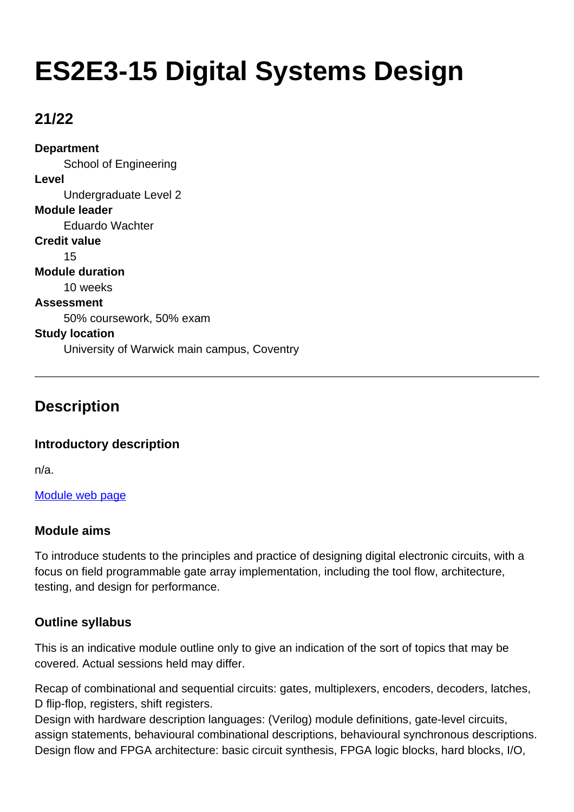# **ES2E3-15 Digital Systems Design**

## **21/22**

**Department** School of Engineering **Level** Undergraduate Level 2 **Module leader** Eduardo Wachter **Credit value** 15 **Module duration** 10 weeks **Assessment** 50% coursework, 50% exam **Study location** University of Warwick main campus, Coventry

## **Description**

### **Introductory description**

n/a.

[Module web page](http://www2.warwick.ac.uk/fac/sci/eng/eso/modules/year2/)

### **Module aims**

To introduce students to the principles and practice of designing digital electronic circuits, with a focus on field programmable gate array implementation, including the tool flow, architecture, testing, and design for performance.

## **Outline syllabus**

This is an indicative module outline only to give an indication of the sort of topics that may be covered. Actual sessions held may differ.

Recap of combinational and sequential circuits: gates, multiplexers, encoders, decoders, latches, D flip-flop, registers, shift registers.

Design with hardware description languages: (Verilog) module definitions, gate-level circuits, assign statements, behavioural combinational descriptions, behavioural synchronous descriptions. Design flow and FPGA architecture: basic circuit synthesis, FPGA logic blocks, hard blocks, I/O,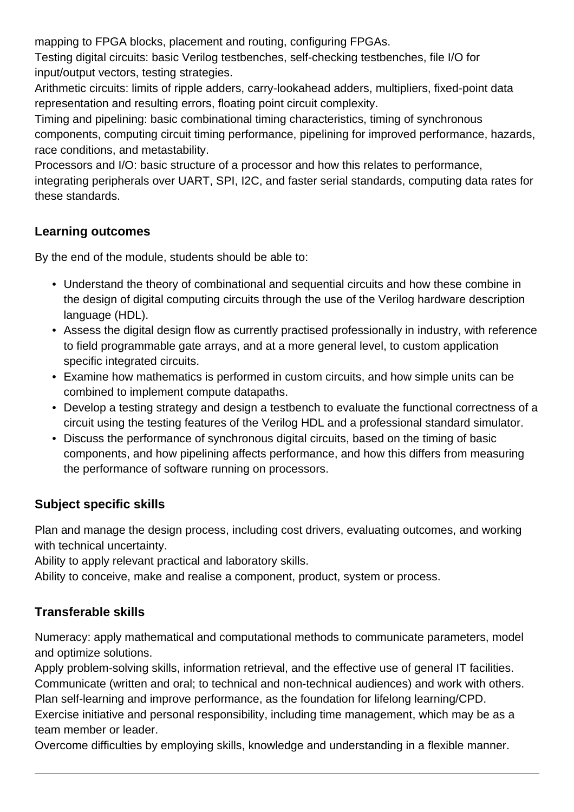mapping to FPGA blocks, placement and routing, configuring FPGAs.

Testing digital circuits: basic Verilog testbenches, self-checking testbenches, file I/O for input/output vectors, testing strategies.

Arithmetic circuits: limits of ripple adders, carry-lookahead adders, multipliers, fixed-point data representation and resulting errors, floating point circuit complexity.

Timing and pipelining: basic combinational timing characteristics, timing of synchronous components, computing circuit timing performance, pipelining for improved performance, hazards, race conditions, and metastability.

Processors and I/O: basic structure of a processor and how this relates to performance, integrating peripherals over UART, SPI, I2C, and faster serial standards, computing data rates for these standards.

## **Learning outcomes**

By the end of the module, students should be able to:

- Understand the theory of combinational and sequential circuits and how these combine in the design of digital computing circuits through the use of the Verilog hardware description language (HDL).
- Assess the digital design flow as currently practised professionally in industry, with reference to field programmable gate arrays, and at a more general level, to custom application specific integrated circuits.
- Examine how mathematics is performed in custom circuits, and how simple units can be combined to implement compute datapaths.
- Develop a testing strategy and design a testbench to evaluate the functional correctness of a circuit using the testing features of the Verilog HDL and a professional standard simulator.
- Discuss the performance of synchronous digital circuits, based on the timing of basic components, and how pipelining affects performance, and how this differs from measuring the performance of software running on processors.

## **Subject specific skills**

Plan and manage the design process, including cost drivers, evaluating outcomes, and working with technical uncertainty.

Ability to apply relevant practical and laboratory skills.

Ability to conceive, make and realise a component, product, system or process.

## **Transferable skills**

Numeracy: apply mathematical and computational methods to communicate parameters, model and optimize solutions.

Apply problem-solving skills, information retrieval, and the effective use of general IT facilities. Communicate (written and oral; to technical and non-technical audiences) and work with others. Plan self-learning and improve performance, as the foundation for lifelong learning/CPD.

Exercise initiative and personal responsibility, including time management, which may be as a team member or leader.

Overcome difficulties by employing skills, knowledge and understanding in a flexible manner.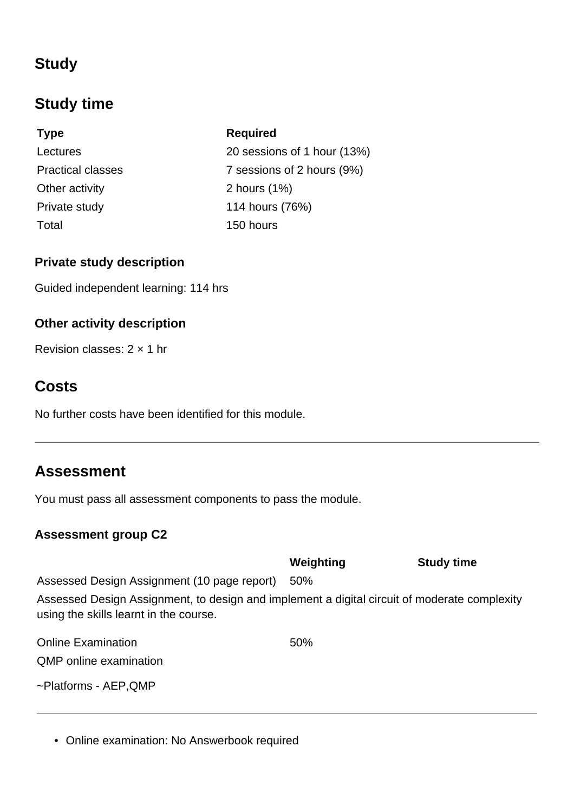## **Study**

## **Study time**

## **Type Required** Other activity 2 hours (1%) Private study 114 hours (76%) Total 150 hours

Lectures 20 sessions of 1 hour (13%) Practical classes 7 sessions of 2 hours (9%)

### **Private study description**

Guided independent learning: 114 hrs

## **Other activity description**

Revision classes: 2 × 1 hr

## **Costs**

No further costs have been identified for this module.

## **Assessment**

You must pass all assessment components to pass the module.

## **Assessment group C2**

|                                                                                                                                        | Weighting | <b>Study time</b> |
|----------------------------------------------------------------------------------------------------------------------------------------|-----------|-------------------|
| Assessed Design Assignment (10 page report)                                                                                            | 50%       |                   |
| Assessed Design Assignment, to design and implement a digital circuit of moderate complexity<br>using the skills learnt in the course. |           |                   |
| <b>Online Examination</b>                                                                                                              | 50%       |                   |
| OMP online examination                                                                                                                 |           |                   |

~Platforms - AEP,QMP

• Online examination: No Answerbook required